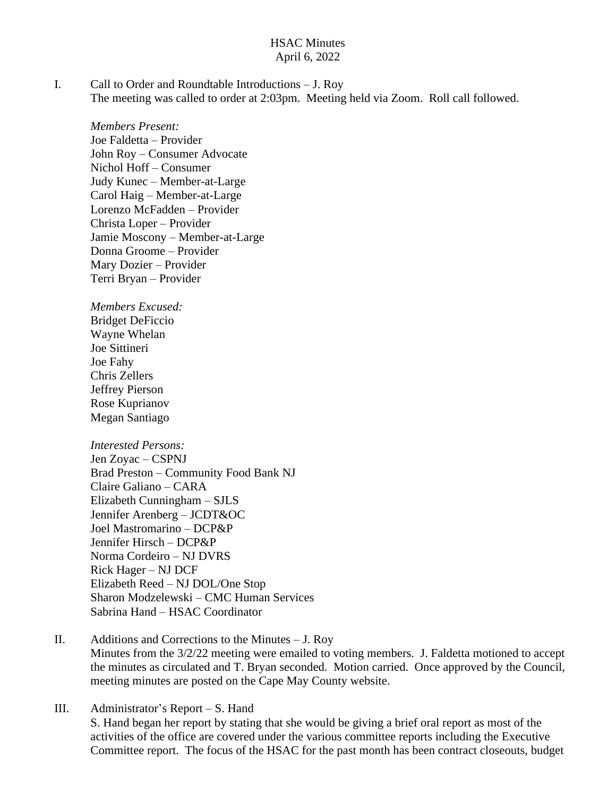#### HSAC Minutes April 6, 2022

I. Call to Order and Roundtable Introductions – J. Roy The meeting was called to order at 2:03pm. Meeting held via Zoom. Roll call followed.

*Members Present:* Joe Faldetta – Provider John Roy – Consumer Advocate Nichol Hoff – Consumer Judy Kunec – Member-at-Large Carol Haig – Member-at-Large Lorenzo McFadden – Provider Christa Loper – Provider Jamie Moscony – Member-at-Large Donna Groome – Provider Mary Dozier – Provider Terri Bryan – Provider

*Members Excused:* Bridget DeFiccio Wayne Whelan Joe Sittineri Joe Fahy Chris Zellers Jeffrey Pierson Rose Kuprianov Megan Santiago

*Interested Persons:* Jen Zoyac – CSPNJ Brad Preston – Community Food Bank NJ Claire Galiano – CARA Elizabeth Cunningham – SJLS Jennifer Arenberg – JCDT&OC Joel Mastromarino – DCP&P Jennifer Hirsch – DCP&P Norma Cordeiro – NJ DVRS Rick Hager – NJ DCF Elizabeth Reed – NJ DOL/One Stop Sharon Modzelewski – CMC Human Services Sabrina Hand – HSAC Coordinator

II. Additions and Corrections to the Minutes – J. Roy Minutes from the 3/2/22 meeting were emailed to voting members. J. Faldetta motioned to accept the minutes as circulated and T. Bryan seconded. Motion carried. Once approved by the Council, meeting minutes are posted on the Cape May County website.

III. Administrator's Report – S. Hand S. Hand began her report by stating that she would be giving a brief oral report as most of the activities of the office are covered under the various committee reports including the Executive Committee report. The focus of the HSAC for the past month has been contract closeouts, budget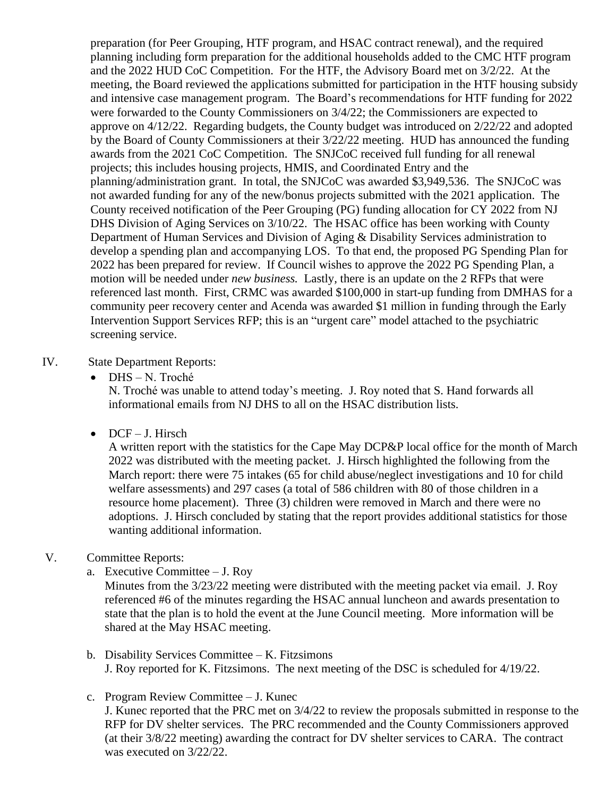preparation (for Peer Grouping, HTF program, and HSAC contract renewal), and the required planning including form preparation for the additional households added to the CMC HTF program and the 2022 HUD CoC Competition. For the HTF, the Advisory Board met on 3/2/22. At the meeting, the Board reviewed the applications submitted for participation in the HTF housing subsidy and intensive case management program. The Board's recommendations for HTF funding for 2022 were forwarded to the County Commissioners on 3/4/22; the Commissioners are expected to approve on 4/12/22. Regarding budgets, the County budget was introduced on 2/22/22 and adopted by the Board of County Commissioners at their 3/22/22 meeting. HUD has announced the funding awards from the 2021 CoC Competition. The SNJCoC received full funding for all renewal projects; this includes housing projects, HMIS, and Coordinated Entry and the planning/administration grant. In total, the SNJCoC was awarded \$3,949,536. The SNJCoC was not awarded funding for any of the new/bonus projects submitted with the 2021 application. The County received notification of the Peer Grouping (PG) funding allocation for CY 2022 from NJ DHS Division of Aging Services on 3/10/22. The HSAC office has been working with County Department of Human Services and Division of Aging & Disability Services administration to develop a spending plan and accompanying LOS. To that end, the proposed PG Spending Plan for 2022 has been prepared for review. If Council wishes to approve the 2022 PG Spending Plan, a motion will be needed under *new business.* Lastly*,* there is an update on the 2 RFPs that were referenced last month. First, CRMC was awarded \$100,000 in start-up funding from DMHAS for a community peer recovery center and Acenda was awarded \$1 million in funding through the Early Intervention Support Services RFP; this is an "urgent care" model attached to the psychiatric screening service.

#### IV. State Department Reports:

DHS – N. Troché

N. Troché was unable to attend today's meeting. J. Roy noted that S. Hand forwards all informational emails from NJ DHS to all on the HSAC distribution lists.

 $\bullet$  DCF – J. Hirsch

A written report with the statistics for the Cape May DCP&P local office for the month of March 2022 was distributed with the meeting packet. J. Hirsch highlighted the following from the March report: there were 75 intakes (65 for child abuse/neglect investigations and 10 for child welfare assessments) and 297 cases (a total of 586 children with 80 of those children in a resource home placement). Three (3) children were removed in March and there were no adoptions. J. Hirsch concluded by stating that the report provides additional statistics for those wanting additional information.

## V. Committee Reports:

a. Executive Committee – J. Roy

Minutes from the 3/23/22 meeting were distributed with the meeting packet via email. J. Roy referenced #6 of the minutes regarding the HSAC annual luncheon and awards presentation to state that the plan is to hold the event at the June Council meeting. More information will be shared at the May HSAC meeting.

- b. Disability Services Committee K. Fitzsimons J. Roy reported for K. Fitzsimons. The next meeting of the DSC is scheduled for 4/19/22.
- c. Program Review Committee J. Kunec

J. Kunec reported that the PRC met on 3/4/22 to review the proposals submitted in response to the RFP for DV shelter services. The PRC recommended and the County Commissioners approved (at their 3/8/22 meeting) awarding the contract for DV shelter services to CARA. The contract was executed on 3/22/22.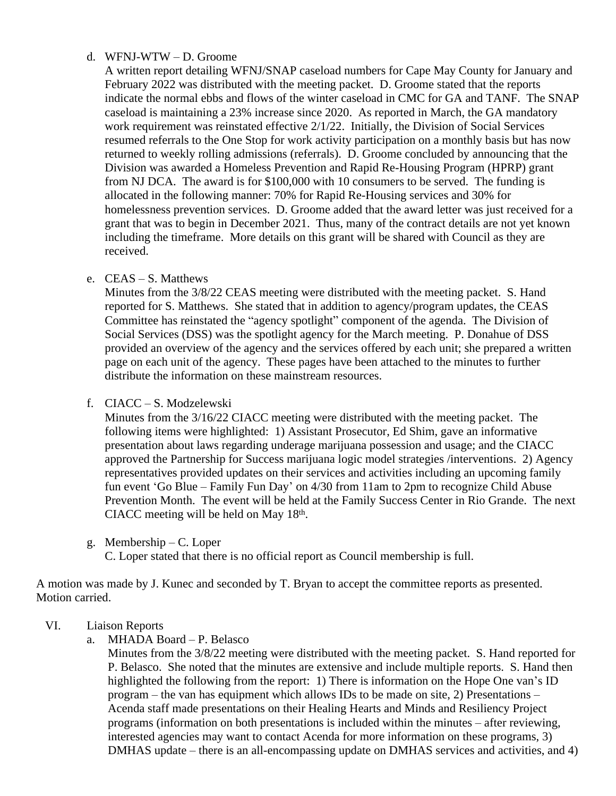#### d. WFNJ-WTW – D. Groome

A written report detailing WFNJ/SNAP caseload numbers for Cape May County for January and February 2022 was distributed with the meeting packet. D. Groome stated that the reports indicate the normal ebbs and flows of the winter caseload in CMC for GA and TANF. The SNAP caseload is maintaining a 23% increase since 2020. As reported in March, the GA mandatory work requirement was reinstated effective 2/1/22. Initially, the Division of Social Services resumed referrals to the One Stop for work activity participation on a monthly basis but has now returned to weekly rolling admissions (referrals). D. Groome concluded by announcing that the Division was awarded a Homeless Prevention and Rapid Re-Housing Program (HPRP) grant from NJ DCA. The award is for \$100,000 with 10 consumers to be served. The funding is allocated in the following manner: 70% for Rapid Re-Housing services and 30% for homelessness prevention services. D. Groome added that the award letter was just received for a grant that was to begin in December 2021. Thus, many of the contract details are not yet known including the timeframe. More details on this grant will be shared with Council as they are received.

e. CEAS – S. Matthews

Minutes from the 3/8/22 CEAS meeting were distributed with the meeting packet. S. Hand reported for S. Matthews. She stated that in addition to agency/program updates, the CEAS Committee has reinstated the "agency spotlight" component of the agenda. The Division of Social Services (DSS) was the spotlight agency for the March meeting. P. Donahue of DSS provided an overview of the agency and the services offered by each unit; she prepared a written page on each unit of the agency. These pages have been attached to the minutes to further distribute the information on these mainstream resources.

f. CIACC – S. Modzelewski

Minutes from the 3/16/22 CIACC meeting were distributed with the meeting packet. The following items were highlighted: 1) Assistant Prosecutor, Ed Shim, gave an informative presentation about laws regarding underage marijuana possession and usage; and the CIACC approved the Partnership for Success marijuana logic model strategies /interventions. 2) Agency representatives provided updates on their services and activities including an upcoming family fun event 'Go Blue – Family Fun Day' on 4/30 from 11am to 2pm to recognize Child Abuse Prevention Month. The event will be held at the Family Success Center in Rio Grande. The next CIACC meeting will be held on May 18<sup>th</sup>.

g. Membership – C. Loper

C. Loper stated that there is no official report as Council membership is full.

A motion was made by J. Kunec and seconded by T. Bryan to accept the committee reports as presented. Motion carried.

## VI. Liaison Reports

a. MHADA Board – P. Belasco

Minutes from the 3/8/22 meeting were distributed with the meeting packet. S. Hand reported for P. Belasco. She noted that the minutes are extensive and include multiple reports. S. Hand then highlighted the following from the report: 1) There is information on the Hope One van's ID program – the van has equipment which allows IDs to be made on site, 2) Presentations – Acenda staff made presentations on their Healing Hearts and Minds and Resiliency Project programs (information on both presentations is included within the minutes – after reviewing, interested agencies may want to contact Acenda for more information on these programs, 3) DMHAS update – there is an all-encompassing update on DMHAS services and activities, and 4)